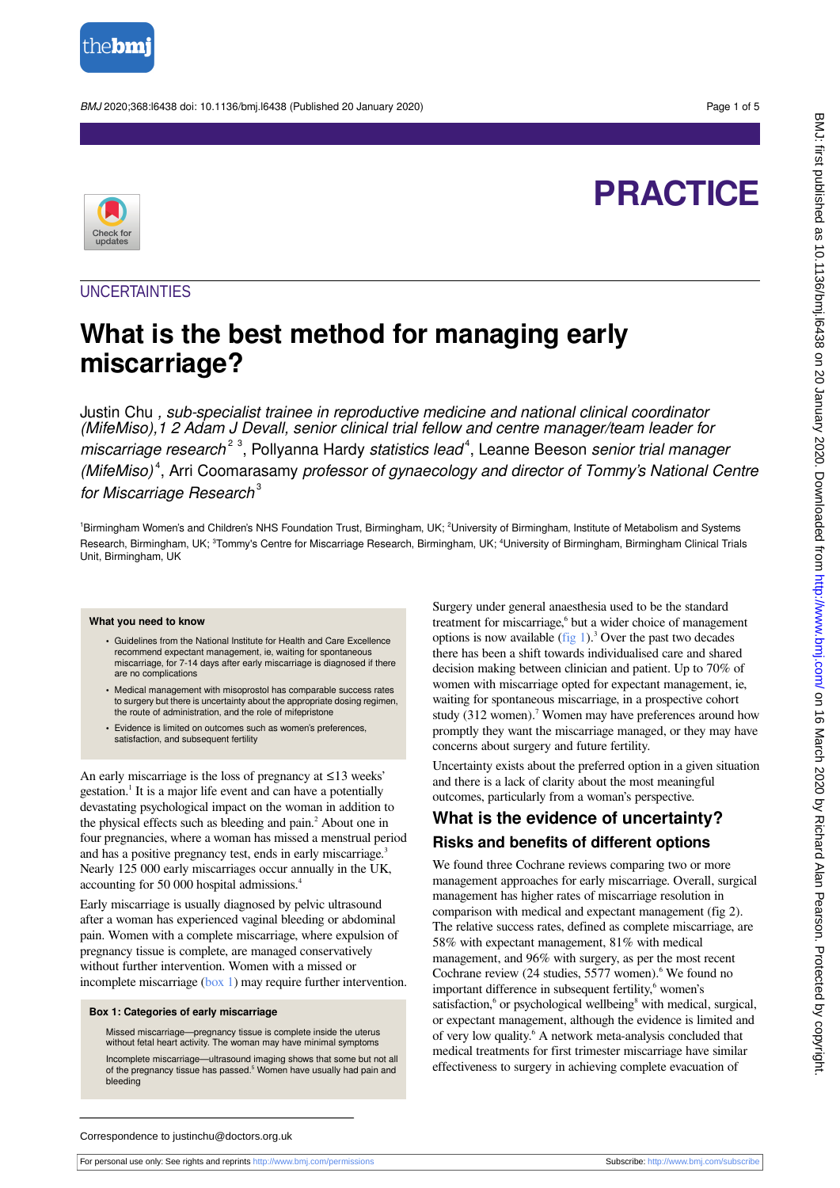

BMJ 2020;368:l6438 doi: 10.1136/bmj.l6438 (Published 20 January 2020) Page 1 of 5

# **PRACTICE**



### **UNCERTAINTIES**

## **What is the best method for managing early miscarriage?**

Justin Chu , sub-specialist trainee in reproductive medicine and national clinical coordinator (MifeMiso),1 2 Adam J Devall, senior clinical trial fellow and centre manager/team leader for miscarriage research<sup>23</sup>, Pollyanna Hardy statistics lead<sup>4</sup>, Leanne Beeson senior trial manager (MifeMiso)<sup>4</sup>, Arri Coomarasamy professor of gynaecology and director of Tommy's National Centre for Miscarriage Research $3$ 

<sup>1</sup>Birmingham Women's and Children's NHS Foundation Trust, Birmingham, UK; <sup>2</sup>University of Birmingham, Institute of Metabolism and Systems Research, Birmingham, UK; <sup>3</sup>Tommy's Centre for Miscarriage Research, Birmingham, UK; <sup>4</sup>University of Birmingham, Birmingham Clinical Trials Unit, Birmingham, UK

#### **What you need to know**

- **•** Guidelines from the National Institute for Health and Care Excellence recommend expectant management, ie, waiting for spontaneous miscarriage, for 7-14 days after early miscarriage is diagnosed if there are no complications
- **•** Medical management with misoprostol has comparable success rates to surgery but there is uncertainty about the appropriate dosing regimen, the route of administration, and the role of mifepristone
- **•** Evidence is limited on outcomes such as women's preferences, satisfaction, and subsequent fertility

An early miscarriage is the loss of pregnancy at ≤13 weeks' gestation.<sup>1</sup> It is a major life event and can have a potentially devastating psychological impact on the woman in addition to the physical effects such as bleeding and pain.<sup>2</sup> About one in four pregnancies, where a woman has missed a menstrual period and has a positive pregnancy test, ends in early miscarriage.<sup>3</sup> Nearly 125 000 early miscarriages occur annually in the UK, accounting for 50 000 hospital admissions.<sup>4</sup>

<span id="page-0-0"></span>Early miscarriage is usually diagnosed by pelvic ultrasound after a woman has experienced vaginal bleeding or abdominal pain. Women with a complete miscarriage, where expulsion of pregnancy tissue is complete, are managed conservatively without further intervention. Women with a missed or incomplete miscarriage [\(box 1\)](#page-0-0) may require further intervention.

#### **Box 1: Categories of early miscarriage**

Missed miscarriage—pregnancy tissue is complete inside the uterus without fetal heart activity. The woman may have minimal symptoms

Incomplete miscarriage—ultrasound imaging shows that some but not all of the pregnancy tissue has passed.<sup>5</sup> Women have usually had pain and bleeding

Surgery under general anaesthesia used to be the standard treatment for miscarriage,<sup>6</sup> but a wider choice of management options is now available  $(fig 1)<sup>3</sup>$  $(fig 1)<sup>3</sup>$  $(fig 1)<sup>3</sup>$  Over the past two decades there has been a shift towards individualised care and shared decision making between clinician and patient. Up to 70% of women with miscarriage opted for expectant management, ie, waiting for spontaneous miscarriage, in a prospective cohort study (312 women).<sup>7</sup> Women may have preferences around how promptly they want the miscarriage managed, or they may have concerns about surgery and future fertility.

Uncertainty exists about the preferred option in a given situation and there is a lack of clarity about the most meaningful outcomes, particularly from a woman's perspective.

### **What is the evidence of uncertainty? Risks and benefits of different options**

We found three Cochrane reviews comparing two or more management approaches for early miscarriage. Overall, surgical management has higher rates of miscarriage resolution in comparison with medical and expectant management (fig 2). The relative success rates, defined as complete miscarriage, are 58% with expectant management, 81% with medical management, and 96% with surgery, as per the most recent Cochrane review  $(24 \text{ studies}, 5577 \text{ women})$ . We found no important difference in subsequent fertility,<sup>6</sup> women's satisfaction,<sup>6</sup> or psychological wellbeing<sup>8</sup> with medical, surgical, or expectant management, although the evidence is limited and of very low quality.<sup>6</sup> A network meta-analysis concluded that medical treatments for first trimester miscarriage have similar effectiveness to surgery in achieving complete evacuation of

Correspondence to justinchu@doctors.org.uk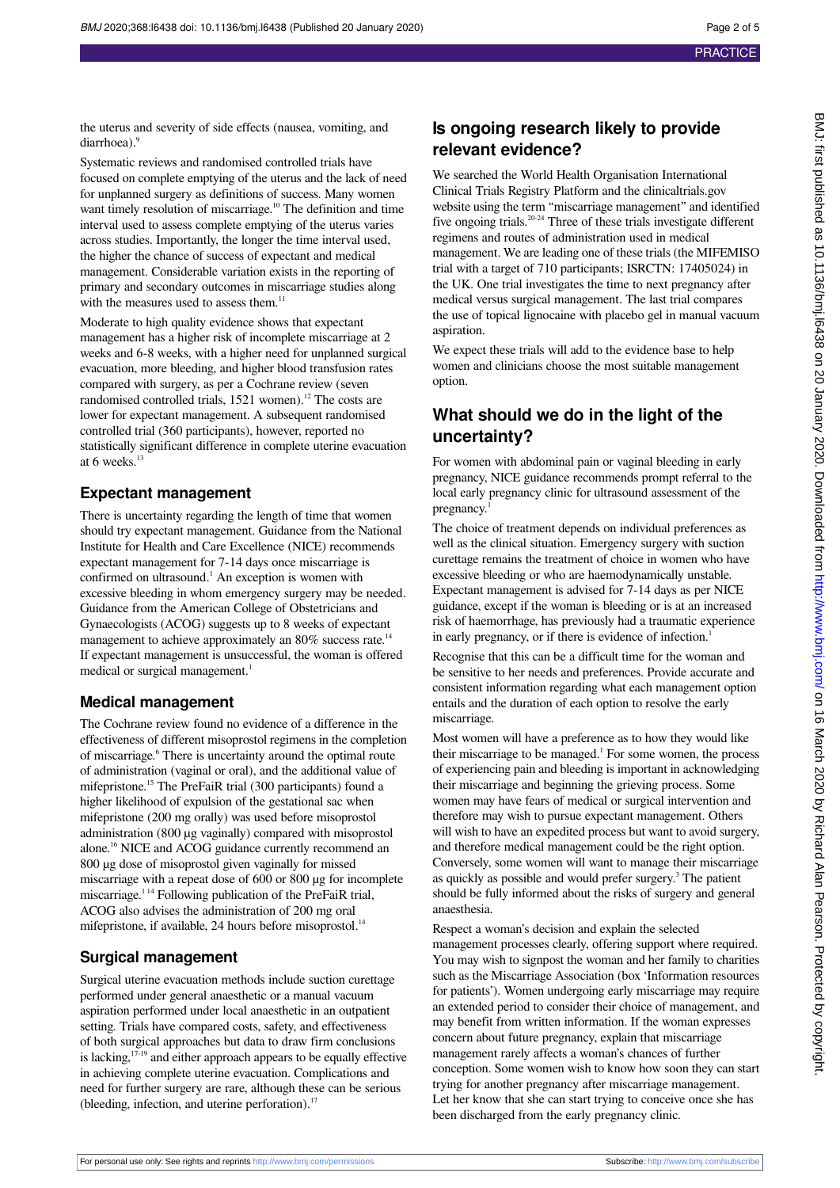the uterus and severity of side effects (nausea, vomiting, and diarrhoea)<sup>.9</sup>

Systematic reviews and randomised controlled trials have focused on complete emptying of the uterus and the lack of need for unplanned surgery as definitions of success. Many women want timely resolution of miscarriage.<sup>10</sup> The definition and time interval used to assess complete emptying of the uterus varies across studies. Importantly, the longer the time interval used, the higher the chance of success of expectant and medical management. Considerable variation exists in the reporting of primary and secondary outcomes in miscarriage studies along with the measures used to assess them.<sup>11</sup>

Moderate to high quality evidence shows that expectant management has a higher risk of incomplete miscarriage at 2 weeks and 6-8 weeks, with a higher need for unplanned surgical evacuation, more bleeding, and higher blood transfusion rates compared with surgery, as per a Cochrane review (seven randomised controlled trials, 1521 women).<sup>12</sup> The costs are lower for expectant management. A subsequent randomised controlled trial (360 participants), however, reported no statistically significant difference in complete uterine evacuation at 6 weeks. $<sup>1</sup>$ </sup>

### **Expectant management**

There is uncertainty regarding the length of time that women should try expectant management. Guidance from the National Institute for Health and Care Excellence (NICE) recommends expectant management for 7-14 days once miscarriage is confirmed on ultrasound.<sup>1</sup> An exception is women with excessive bleeding in whom emergency surgery may be needed. Guidance from the American College of Obstetricians and Gynaecologists (ACOG) suggests up to 8 weeks of expectant management to achieve approximately an 80% success rate.<sup>14</sup> If expectant management is unsuccessful, the woman is offered medical or surgical management.<sup>1</sup>

### **Medical management**

The Cochrane review found no evidence of a difference in the effectiveness of different misoprostol regimens in the completion of miscarriage.<sup>6</sup> There is uncertainty around the optimal route of administration (vaginal or oral), and the additional value of mifepristone.<sup>15</sup> The PreFaiR trial (300 participants) found a higher likelihood of expulsion of the gestational sac when mifepristone (200 mg orally) was used before misoprostol administration (800 µg vaginally) compared with misoprostol alone.<sup>16</sup> NICE and ACOG guidance currently recommend an 800 µg dose of misoprostol given vaginally for missed miscarriage with a repeat dose of 600 or 800 µg for incomplete miscarriage.<sup>114</sup> Following publication of the PreFaiR trial, ACOG also advises the administration of 200 mg oral mifepristone, if available, 24 hours before misoprostol.<sup>14</sup>

### **Surgical management**

Surgical uterine evacuation methods include suction curettage performed under general anaesthetic or a manual vacuum aspiration performed under local anaesthetic in an outpatient setting. Trials have compared costs, safety, and effectiveness of both surgical approaches but data to draw firm conclusions is lacking, $17-19$  and either approach appears to be equally effective in achieving complete uterine evacuation. Complications and need for further surgery are rare, although these can be serious (bleeding, infection, and uterine perforation).<sup>17</sup>

### **Is ongoing research likely to provide relevant evidence?**

We searched the World Health Organisation International Clinical Trials Registry Platform and the clinicaltrials.gov website using the term "miscarriage management" and identified five ongoing trials.<sup>20-24</sup> Three of these trials investigate different regimens and routes of administration used in medical management. We are leading one of these trials (the MIFEMISO trial with a target of 710 participants; ISRCTN: 17405024) in the UK. One trial investigates the time to next pregnancy after medical versus surgical management. The last trial compares the use of topical lignocaine with placebo gel in manual vacuum aspiration.

We expect these trials will add to the evidence base to help women and clinicians choose the most suitable management option.

### **What should we do in the light of the uncertainty?**

For women with abdominal pain or vaginal bleeding in early pregnancy, NICE guidance recommends prompt referral to the local early pregnancy clinic for ultrasound assessment of the pregnancy.

The choice of treatment depends on individual preferences as well as the clinical situation. Emergency surgery with suction curettage remains the treatment of choice in women who have excessive bleeding or who are haemodynamically unstable. Expectant management is advised for 7-14 days as per NICE guidance, except if the woman is bleeding or is at an increased risk of haemorrhage, has previously had a traumatic experience in early pregnancy, or if there is evidence of infection.<sup>1</sup>

Recognise that this can be a difficult time for the woman and be sensitive to her needs and preferences. Provide accurate and consistent information regarding what each management option entails and the duration of each option to resolve the early miscarriage.

Most women will have a preference as to how they would like their miscarriage to be managed.<sup>1</sup> For some women, the process of experiencing pain and bleeding is important in acknowledging their miscarriage and beginning the grieving process. Some women may have fears of medical or surgical intervention and therefore may wish to pursue expectant management. Others will wish to have an expedited process but want to avoid surgery, and therefore medical management could be the right option. Conversely, some women will want to manage their miscarriage as quickly as possible and would prefer surgery.<sup>3</sup> The patient should be fully informed about the risks of surgery and general anaesthesia.

Respect a woman's decision and explain the selected management processes clearly, offering support where required. You may wish to signpost the woman and her family to charities such as the Miscarriage Association (box 'Information resources for patients'). Women undergoing early miscarriage may require an extended period to consider their choice of management, and may benefit from written information. If the woman expresses concern about future pregnancy, explain that miscarriage management rarely affects a woman's chances of further conception. Some women wish to know how soon they can start trying for another pregnancy after miscarriage management. Let her know that she can start trying to conceive once she has been discharged from the early pregnancy clinic.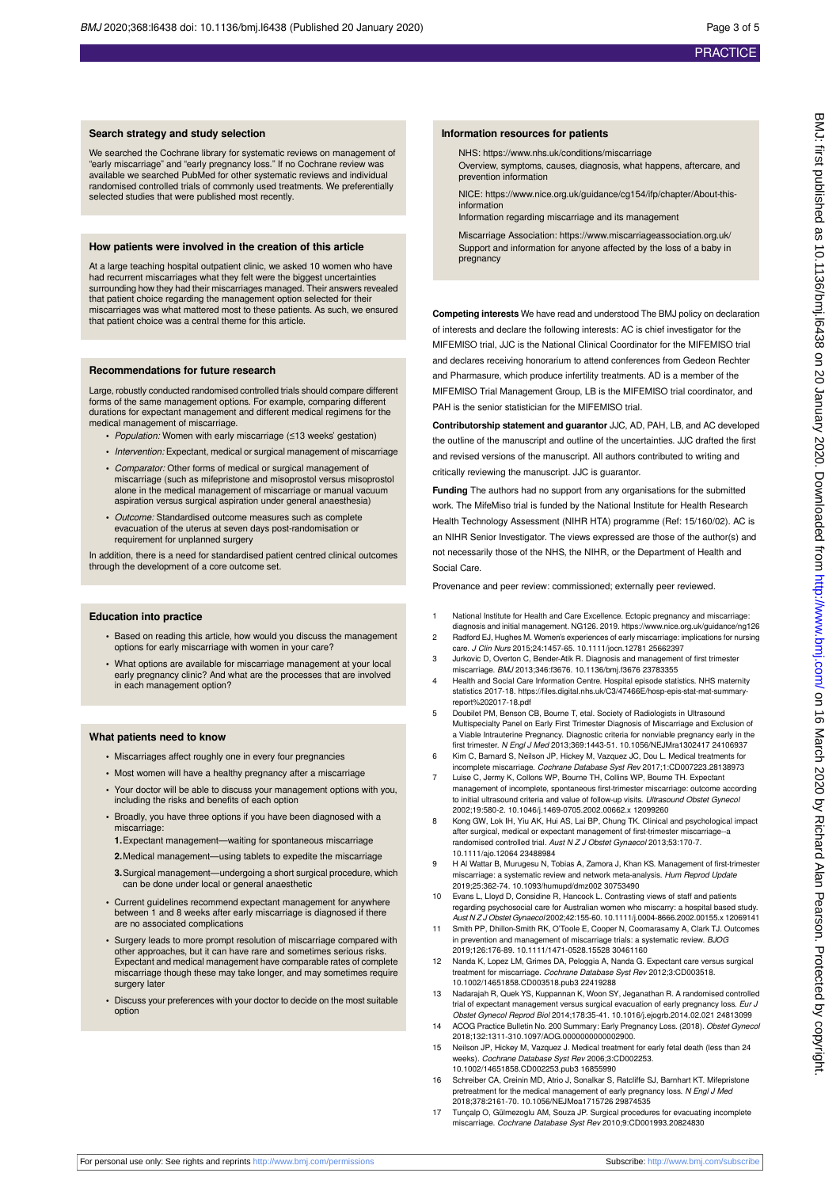#### **Search strategy and study selection**

We searched the Cochrane library for systematic reviews on management of "early miscarriage" and "early pregnancy loss." If no Cochrane review was available we searched PubMed for other systematic reviews and individual randomised controlled trials of commonly used treatments. We preferentially selected studies that were published most recently.

#### **How patients were involved in the creation of this article**

At a large teaching hospital outpatient clinic, we asked 10 women who have had recurrent miscarriages what they felt were the biggest uncertainties surrounding how they had their miscarriages managed. Their answers revealed that patient choice regarding the management option selected for their miscarriages was what mattered most to these patients. As such, we ensured that patient choice was a central theme for this article.

#### **Recommendations for future research**

Large, robustly conducted randomised controlled trials should compare different forms of the same management options. For example, comparing different durations for expectant management and different medical regimens for the medical management of miscarriage.

- **•** Population: Women with early miscarriage (≤13 weeks' gestation)
- **•** Intervention: Expectant, medical or surgical management of miscarriage
- **•** Comparator: Other forms of medical or surgical management of miscarriage (such as mifepristone and misoprostol versus misoprostol alone in the medical management of miscarriage or manual vacuum aspiration versus surgical aspiration under general anaesthesia)
- **•** Outcome: Standardised outcome measures such as complete evacuation of the uterus at seven days post-randomisation or requirement for unplanned surgery

In addition, there is a need for standardised patient centred clinical outcomes through the development of a core outcome set.

#### **Education into practice**

- **•** Based on reading this article, how would you discuss the management options for early miscarriage with women in your care?
- **•** What options are available for miscarriage management at your local early pregnancy clinic? And what are the processes that are involved in each management option?

#### **What patients need to know**

- **•** Miscarriages affect roughly one in every four pregnancies
- **•** Most women will have a healthy pregnancy after a miscarriage
- **•** Your doctor will be able to discuss your management options with you, including the risks and benefits of each option
- **•** Broadly, you have three options if you have been diagnosed with a miscarriage:

**1.**Expectant management—waiting for spontaneous miscarriage

- **2.**Medical management—using tablets to expedite the miscarriage
- **3.**Surgical management—undergoing a short surgical procedure, which can be done under local or general anaesthetic
- **•** Current guidelines recommend expectant management for anywhere between 1 and 8 weeks after early miscarriage is diagnosed if there are no associated complications
- **•** Surgery leads to more prompt resolution of miscarriage compared with other approaches, but it can have rare and sometimes serious risks. Expectant and medical management have comparable rates of complete miscarriage though these may take longer, and may sometimes require surgery later
- **•** Discuss your preferences with your doctor to decide on the most suitable option

#### **Information resources for patients**

NHS: https://www.nhs.uk/conditions/miscarriage

Overview, symptoms, causes, diagnosis, what happens, aftercare, and prevention information

NICE: https://www.nice.org.uk/guidance/cg154/ifp/chapter/About-this*information* 

Information regarding miscarriage and its management

Miscarriage Association: https://www.miscarriageassociation.org.uk/ Support and information for anyone affected by the loss of a baby in pregnancy

**Competing interests** We have read and understood The BMJ policy on declaration of interests and declare the following interests: AC is chief investigator for the MIFEMISO trial, JJC is the National Clinical Coordinator for the MIFEMISO trial and declares receiving honorarium to attend conferences from Gedeon Rechter and Pharmasure, which produce infertility treatments. AD is a member of the MIFEMISO Trial Management Group, LB is the MIFEMISO trial coordinator, and PAH is the senior statistician for the MIFEMISO trial.

**Contributorship statement and guarantor** JJC, AD, PAH, LB, and AC developed the outline of the manuscript and outline of the uncertainties. JJC drafted the first and revised versions of the manuscript. All authors contributed to writing and critically reviewing the manuscript. JJC is guarantor.

**Funding** The authors had no support from any organisations for the submitted work. The MifeMiso trial is funded by the National Institute for Health Research Health Technology Assessment (NIHR HTA) programme (Ref: 15/160/02). AC is an NIHR Senior Investigator. The views expressed are those of the author(s) and not necessarily those of the NHS, the NIHR, or the Department of Health and Social Care.

Provenance and peer review: commissioned; externally peer reviewed.

- 1 National Institute for Health and Care Excellence. Ectopic pregnancy and miscarriage: diagnosis and initial management. NG126. 2019. https://www.nice.org.uk/guidance/ng126 2 Radford EJ, Hughes M. Women's experiences of early miscarriage: implications for nursing
- care. J Clin Nurs 2015;24:1457-65. 10.1111/jocn.12781 25662397 3 Jurkovic D, Overton C, Bender-Atik R. Diagnosis and management of first trimester miscarriage. BMJ 2013;346:f3676. 10.1136/bmj.f3676 23783355
- 4 Health and Social Care Information Centre. Hospital episode statistics. NHS maternity
- statistics 2017-18. https://files.digital.nhs.uk/C3/47466E/hosp-epis-stat-mat-summaryreport%202017-18.pdf
- 5 Doubilet PM, Benson CB, Bourne T, etal. Society of Radiologists in Ultrasound Multispecialty Panel on Early First Trimester Diagnosis of Miscarriage and Exclusion of a Viable Intrauterine Pregnancy. Diagnostic criteria for nonviable pregnancy early in the first trimester. N Engl J Med 2013;369:1443-51. 10.1056/NEJMra1302417 24106937
- 6 Kim C, Barnard S, Neilson JP, Hickey M, Vazquez JC, Dou L. Medical treatments for incomplete miscarriage. Cochrane Database Syst Rev 2017;1:CD007223.28138973 7 Luise C, Jermy K, Collons WP, Bourne TH, Collins WP, Bourne TH. Expectant
- management of incomplete, spontaneous first-trimester miscarriage: outcome according to initial ultrasound criteria and value of follow-up visits. Ultrasound Obstet Gynecol 2002;19:580-2. 10.1046/j.1469-0705.2002.00662.x 12099260
- 8 Kong GW, Lok IH, Yiu AK, Hui AS, Lai BP, Chung TK. Clinical and psychological impact after surgical, medical or expectant management of first-trimester miscarriage--a randomised controlled trial. Aust N Z J Obstet Gynaecol 2013;53:170-7. 10.1111/ajo.12064 23488984
- 9 H Al Wattar B, Murugesu N, Tobias A, Zamora J, Khan KS. Management of first-trimester miscarriage: a systematic review and network meta-analysis. Hum Reprod Update 2019;25:362-74. 10.1093/humupd/dmz002 30753490

10 Evans L, Lloyd D, Considine R, Hancock L. Contrasting views of staff and patients regarding psychosocial care for Australian women who miscarry: a hospital based study. Aust N Z J Obstet Gynaecol 2002;42:155-60. 10.1111/j.0004-8666.2002.00155.x 12069141

- 11 Smith PP, Dhillon-Smith RK, O'Toole E, Cooper N, Coomarasamy A, Clark TJ. Outco in prevention and management of miscarriage trials: a systematic review. BJOG 2019;126:176-89. 10.1111/1471-0528.15528 30461160
- 12 Nanda K, Lopez LM, Grimes DA, Peloggia A, Nanda G. Expectant care versus surgical treatment for miscarriage. Cochrane Database Syst Rev 2012;3:CD003518. 10.1002/14651858.CD003518.pub3 22419288
- 13 Nadarajah R, Quek YS, Kuppannan K, Woon SY, Jeganathan R. A randomised controlled trial of expectant management versus surgical evacuation of early pregnancy loss. Eur J<br>Obstet Gynecol Reprod Biol 2014;178:35-41. 10.1016/j.ejogrb.2014.02.021 24813099
- 14 ACOG Practice Bulletin No. 200 Summary: Early Pregnancy Loss. (2018). Obstet Gynecol 2018;132:1311-310.1097/AOG.0000000000002900.
- 15 Neilson JP, Hickey M, Vazquez J. Medical treatment for early fetal death (less than 24 weeks). Cochrane Database Syst Rev 2006;3:CD002253. 10.1002/14651858.CD002253.pub3 16855990
- 16 Schreiber CA, Creinin MD, Atrio J, Sonalkar S, Ratcliffe SJ, Barnhart KT. Mifepristone pretreatment for the medical management of early pregnancy loss. N Engl J Med 2018;378:2161-70. 10.1056/NEJMoa1715726 29874535
- 17 Tunçalp O, Gülmezoglu AM, Souza JP. Surgical procedures for evacuating incomplete miscarriage. Cochrane Database Syst Rev 2010;9:CD001993.20824830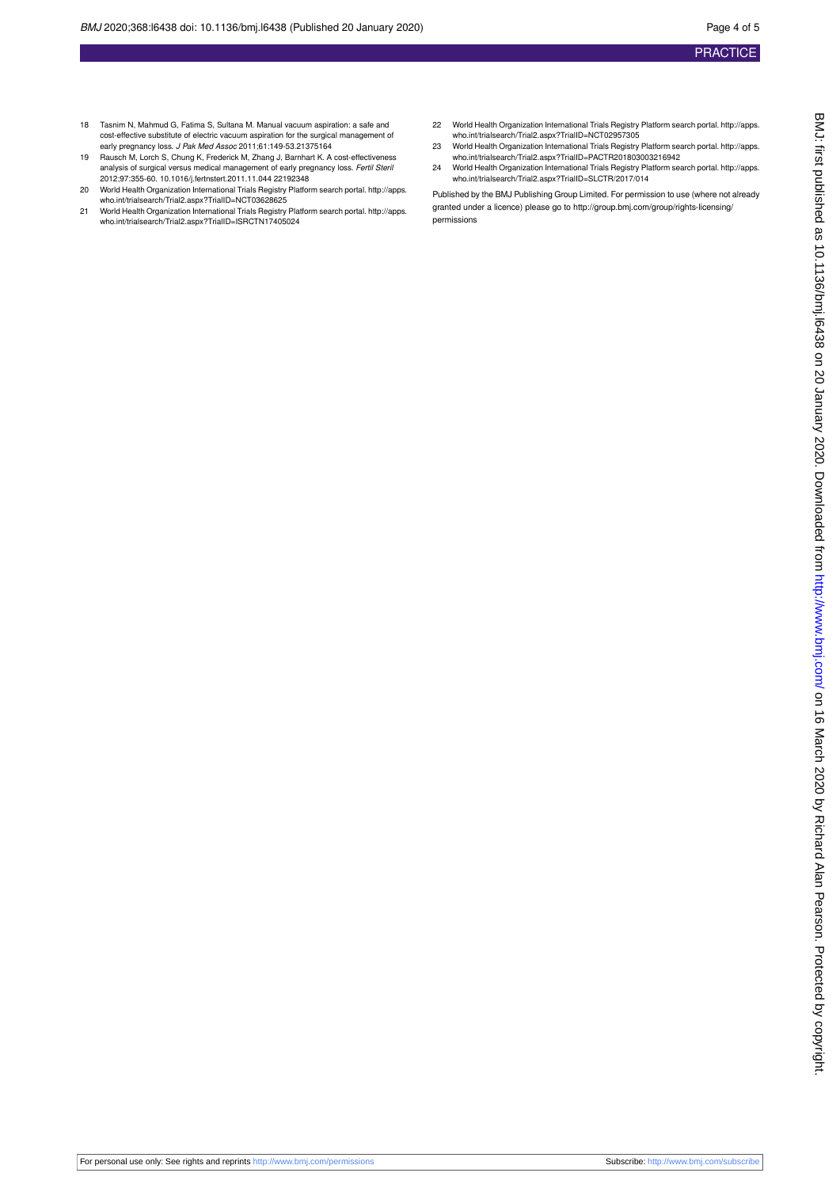- 18 Tasnim N, Mahmud G, Fatima S, Sultana M. Manual vacuum aspiration: a safe and cost-effective substitute of electric vacuum aspiration for the surgical management of early pregnancy loss. J Pak Med Assoc 2011;61:149-53.21375164
- 19 Rausch M, Lorch S, Chung K, Frederick M, Zhang J, Barnhart K. A cost-effectiveness analysis of surgical versus medical management of early pregnancy loss. *Fertil Steri.*<br>2012;97:355-60. 10.1016/j.fertnstert.2011.11.044 22192348
- 20 World Health Organization International Trials Registry Platform search portal. [http://apps.](http://apps.who.int/trialsearch/Trial2.aspx?TrialID=NCT03628625) [who.int/trialsearch/Trial2.aspx?TrialID=NCT03628625](http://apps.who.int/trialsearch/Trial2.aspx?TrialID=NCT03628625) 21 World Health Organization International Trials Registry Platform search portal. [http://apps.](http://apps.who.int/trialsearch/Trial2.aspx?TrialID=ISRCTN17405024)
- [who.int/trialsearch/Trial2.aspx?TrialID=ISRCTN17405024](http://apps.who.int/trialsearch/Trial2.aspx?TrialID=ISRCTN17405024)
- 22 World Health Organization International Trials Registry Platform search portal. [http://apps.](http://apps.who.int/trialsearch/Trial2.aspx?TrialID=NCT02957305) [who.int/trialsearch/Trial2.aspx?TrialID=NCT02957305](http://apps.who.int/trialsearch/Trial2.aspx?TrialID=NCT02957305)
- 23 World Health Organization International Trials Registry Platform search portal. [http://apps.](http://apps.who.int/trialsearch/Trial2.aspx?TrialID=PACTR201803003216942) [who.int/trialsearch/Trial2.aspx?TrialID=PACTR201803003216942](http://apps.who.int/trialsearch/Trial2.aspx?TrialID=PACTR201803003216942)
- 24 World Health Organization International Trials Registry Platform search portal. [http://apps.](http://apps.who.int/trialsearch/Trial2.aspx?TrialID=SLCTR/2017/014) [who.int/trialsearch/Trial2.aspx?TrialID=SLCTR/2017/014](http://apps.who.int/trialsearch/Trial2.aspx?TrialID=SLCTR/2017/014)

Published by the BMJ Publishing Group Limited. For permission to use (where not already granted under a licence) please go to [http://group.bmj.com/group/rights-licensing/](http://group.bmj.com/group/rights-licensing/permissions) [permissions](http://group.bmj.com/group/rights-licensing/permissions)